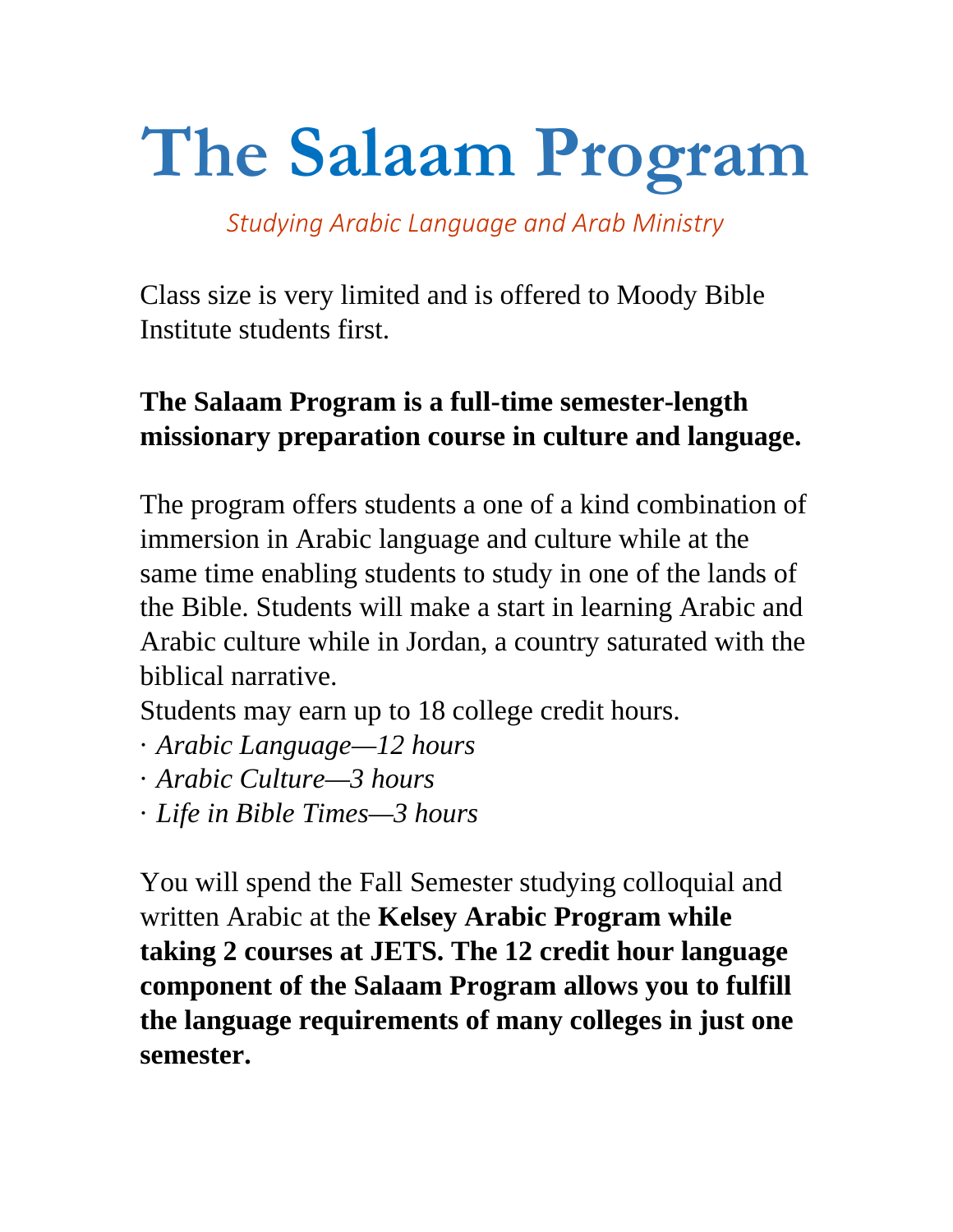# **The Salaam Program**

*Studying Arabic Language and Arab Ministry*

Class size is very limited and is offered to Moody Bible Institute students first.

## **The Salaam Program is a full-time semester-length missionary preparation course in culture and language.**

The program offers students a one of a kind combination of immersion in Arabic language and culture while at the same time enabling students to study in one of the lands of the Bible. Students will make a start in learning Arabic and Arabic culture while in Jordan, a country saturated with the biblical narrative.

Students may earn up to 18 college credit hours.

- · *Arabic Language—12 hours*
- · *Arabic Culture—3 hours*
- · *Life in Bible Times—3 hours*

You will spend the Fall Semester studying colloquial and written Arabic at the **Kelsey Arabic Program while taking 2 courses at JETS. The 12 credit hour language component of the Salaam Program allows you to fulfill the language requirements of many colleges in just one semester.**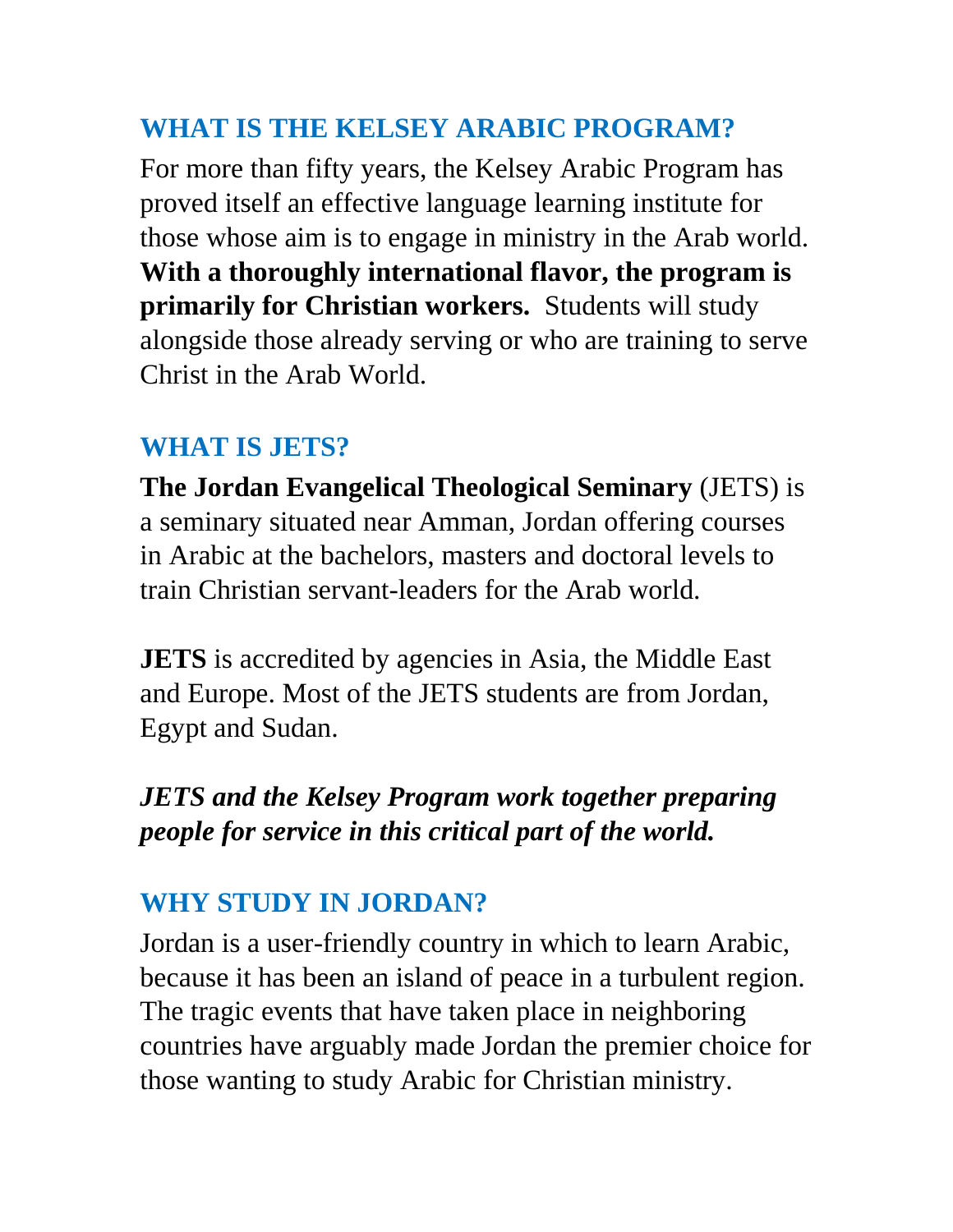## **WHAT IS THE KELSEY ARABIC PROGRAM?**

For more than fifty years, the Kelsey Arabic Program has proved itself an effective language learning institute for those whose aim is to engage in ministry in the Arab world. **With a thoroughly international flavor, the program is primarily for Christian workers.** Students will study alongside those already serving or who are training to serve Christ in the Arab World.

### **WHAT IS JETS?**

**The Jordan Evangelical Theological Seminary** (JETS) is a seminary situated near Amman, Jordan offering courses in Arabic at the bachelors, masters and doctoral levels to train Christian servant-leaders for the Arab world.

**JETS** is accredited by agencies in Asia, the Middle East and Europe. Most of the JETS students are from Jordan, Egypt and Sudan.

### *JETS and the Kelsey Program work together preparing people for service in this critical part of the world.*

## **WHY STUDY IN JORDAN?**

Jordan is a user-friendly country in which to learn Arabic, because it has been an island of peace in a turbulent region. The tragic events that have taken place in neighboring countries have arguably made Jordan the premier choice for those wanting to study Arabic for Christian ministry.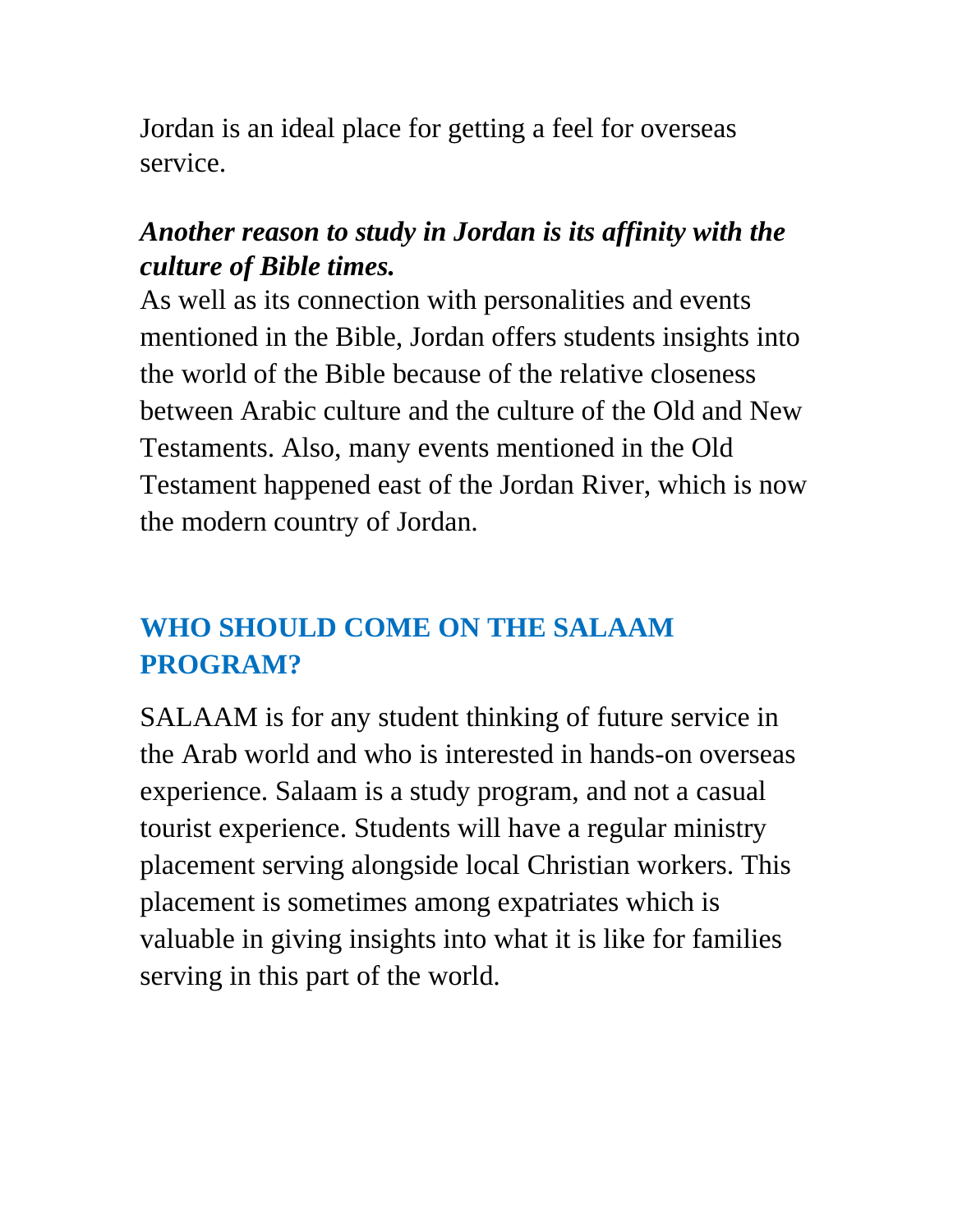Jordan is an ideal place for getting a feel for overseas service.

### *Another reason to study in Jordan is its affinity with the culture of Bible times.*

As well as its connection with personalities and events mentioned in the Bible, Jordan offers students insights into the world of the Bible because of the relative closeness between Arabic culture and the culture of the Old and New Testaments. Also, many events mentioned in the Old Testament happened east of the Jordan River, which is now the modern country of Jordan.

## **WHO SHOULD COME ON THE SALAAM PROGRAM?**

SALAAM is for any student thinking of future service in the Arab world and who is interested in hands-on overseas experience. Salaam is a study program, and not a casual tourist experience. Students will have a regular ministry placement serving alongside local Christian workers. This placement is sometimes among expatriates which is valuable in giving insights into what it is like for families serving in this part of the world.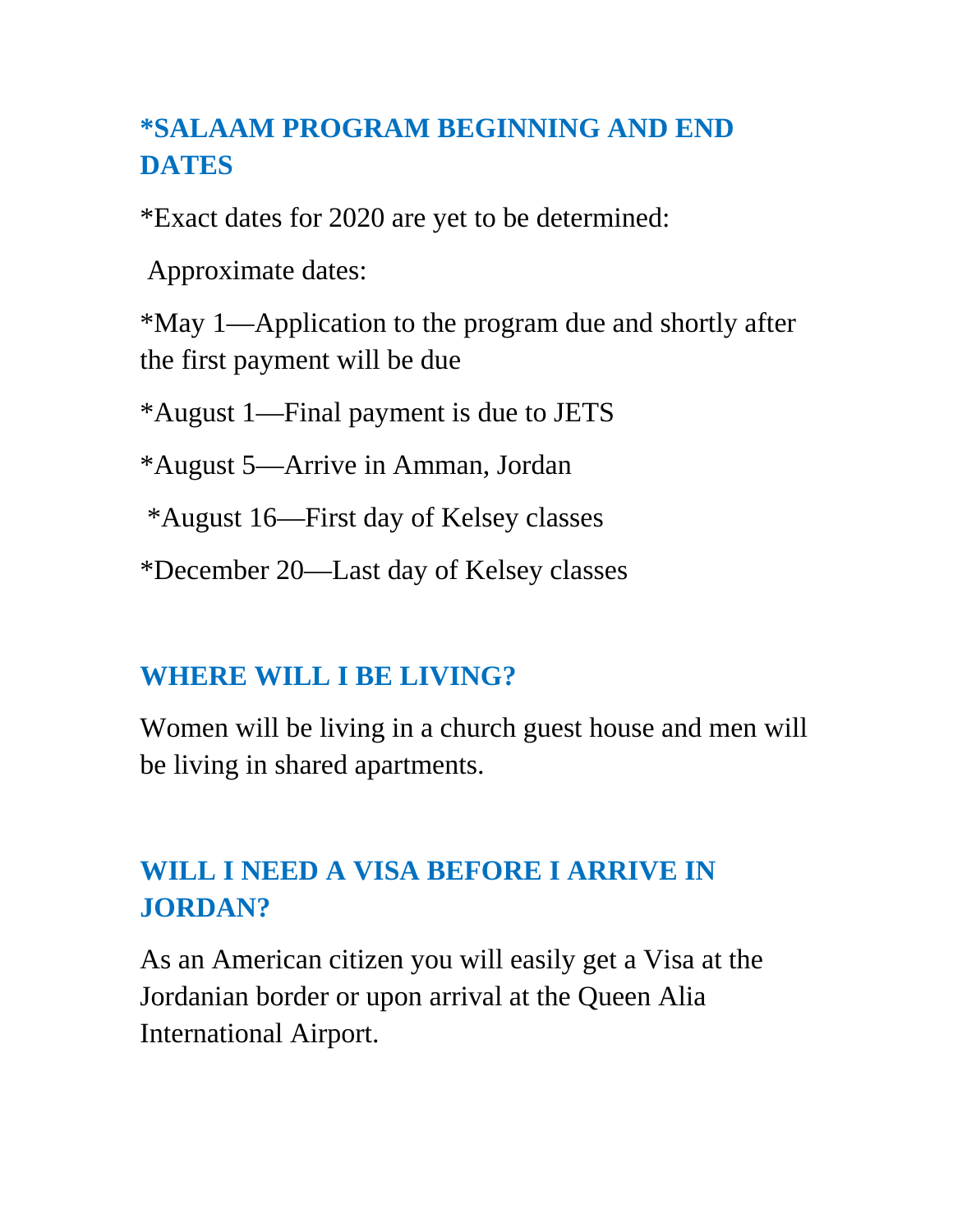## **\*SALAAM PROGRAM BEGINNING AND END DATES**

\*Exact dates for 2020 are yet to be determined:

Approximate dates:

\*May 1—Application to the program due and shortly after the first payment will be due

\*August 1—Final payment is due to JETS

\*August 5—Arrive in Amman, Jordan

\*August 16—First day of Kelsey classes

\*December 20—Last day of Kelsey classes

#### **WHERE WILL I BE LIVING?**

Women will be living in a church guest house and men will be living in shared apartments.

## **WILL I NEED A VISA BEFORE I ARRIVE IN JORDAN?**

As an American citizen you will easily get a Visa at the Jordanian border or upon arrival at the Queen Alia International Airport.